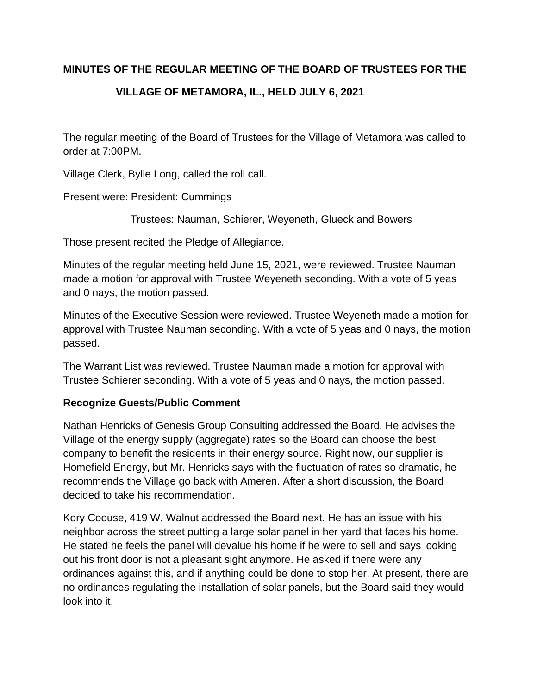## **MINUTES OF THE REGULAR MEETING OF THE BOARD OF TRUSTEES FOR THE**

# **VILLAGE OF METAMORA, IL., HELD JULY 6, 2021**

The regular meeting of the Board of Trustees for the Village of Metamora was called to order at 7:00PM.

Village Clerk, Bylle Long, called the roll call.

Present were: President: Cummings

Trustees: Nauman, Schierer, Weyeneth, Glueck and Bowers

Those present recited the Pledge of Allegiance.

Minutes of the regular meeting held June 15, 2021, were reviewed. Trustee Nauman made a motion for approval with Trustee Weyeneth seconding. With a vote of 5 yeas and 0 nays, the motion passed.

Minutes of the Executive Session were reviewed. Trustee Weyeneth made a motion for approval with Trustee Nauman seconding. With a vote of 5 yeas and 0 nays, the motion passed.

The Warrant List was reviewed. Trustee Nauman made a motion for approval with Trustee Schierer seconding. With a vote of 5 yeas and 0 nays, the motion passed.

## **Recognize Guests/Public Comment**

Nathan Henricks of Genesis Group Consulting addressed the Board. He advises the Village of the energy supply (aggregate) rates so the Board can choose the best company to benefit the residents in their energy source. Right now, our supplier is Homefield Energy, but Mr. Henricks says with the fluctuation of rates so dramatic, he recommends the Village go back with Ameren. After a short discussion, the Board decided to take his recommendation.

Kory Coouse, 419 W. Walnut addressed the Board next. He has an issue with his neighbor across the street putting a large solar panel in her yard that faces his home. He stated he feels the panel will devalue his home if he were to sell and says looking out his front door is not a pleasant sight anymore. He asked if there were any ordinances against this, and if anything could be done to stop her. At present, there are no ordinances regulating the installation of solar panels, but the Board said they would look into it.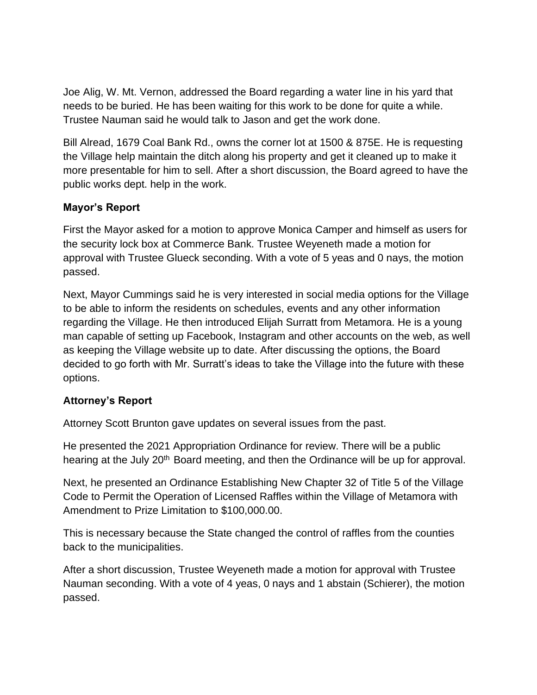Joe Alig, W. Mt. Vernon, addressed the Board regarding a water line in his yard that needs to be buried. He has been waiting for this work to be done for quite a while. Trustee Nauman said he would talk to Jason and get the work done.

Bill Alread, 1679 Coal Bank Rd., owns the corner lot at 1500 & 875E. He is requesting the Village help maintain the ditch along his property and get it cleaned up to make it more presentable for him to sell. After a short discussion, the Board agreed to have the public works dept. help in the work.

## **Mayor's Report**

First the Mayor asked for a motion to approve Monica Camper and himself as users for the security lock box at Commerce Bank. Trustee Weyeneth made a motion for approval with Trustee Glueck seconding. With a vote of 5 yeas and 0 nays, the motion passed.

Next, Mayor Cummings said he is very interested in social media options for the Village to be able to inform the residents on schedules, events and any other information regarding the Village. He then introduced Elijah Surratt from Metamora. He is a young man capable of setting up Facebook, Instagram and other accounts on the web, as well as keeping the Village website up to date. After discussing the options, the Board decided to go forth with Mr. Surratt's ideas to take the Village into the future with these options.

# **Attorney's Report**

Attorney Scott Brunton gave updates on several issues from the past.

He presented the 2021 Appropriation Ordinance for review. There will be a public hearing at the July 20<sup>th</sup> Board meeting, and then the Ordinance will be up for approval.

Next, he presented an Ordinance Establishing New Chapter 32 of Title 5 of the Village Code to Permit the Operation of Licensed Raffles within the Village of Metamora with Amendment to Prize Limitation to \$100,000.00.

This is necessary because the State changed the control of raffles from the counties back to the municipalities.

After a short discussion, Trustee Weyeneth made a motion for approval with Trustee Nauman seconding. With a vote of 4 yeas, 0 nays and 1 abstain (Schierer), the motion passed.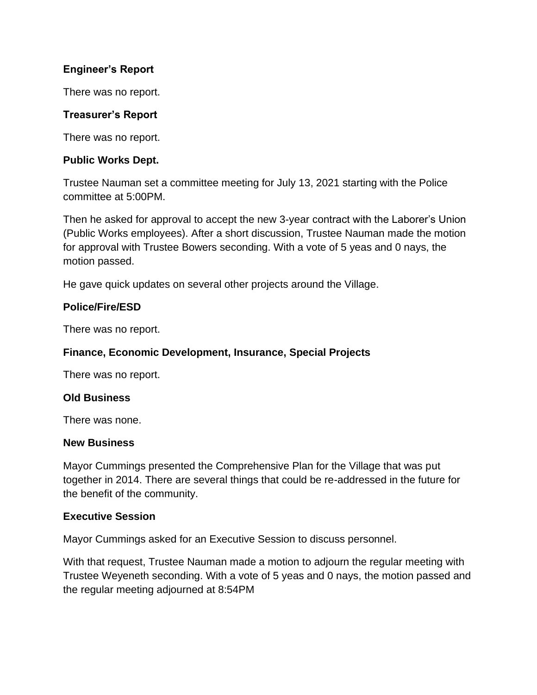## **Engineer's Report**

There was no report.

### **Treasurer's Report**

There was no report.

#### **Public Works Dept.**

Trustee Nauman set a committee meeting for July 13, 2021 starting with the Police committee at 5:00PM.

Then he asked for approval to accept the new 3-year contract with the Laborer's Union (Public Works employees). After a short discussion, Trustee Nauman made the motion for approval with Trustee Bowers seconding. With a vote of 5 yeas and 0 nays, the motion passed.

He gave quick updates on several other projects around the Village.

#### **Police/Fire/ESD**

There was no report.

#### **Finance, Economic Development, Insurance, Special Projects**

There was no report.

#### **Old Business**

There was none.

#### **New Business**

Mayor Cummings presented the Comprehensive Plan for the Village that was put together in 2014. There are several things that could be re-addressed in the future for the benefit of the community.

#### **Executive Session**

Mayor Cummings asked for an Executive Session to discuss personnel.

With that request, Trustee Nauman made a motion to adjourn the regular meeting with Trustee Weyeneth seconding. With a vote of 5 yeas and 0 nays, the motion passed and the regular meeting adjourned at 8:54PM